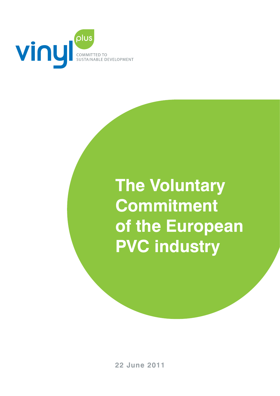

# **The Voluntary Commitment of the European PVC industry**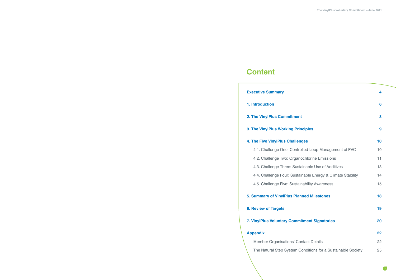| <b>Executive Summary</b>                                     | 4  |
|--------------------------------------------------------------|----|
| 1. Introduction                                              | 6  |
| 2. The VinylPlus Commitment                                  | 8  |
| 3. The VinylPlus Working Principles                          | 9  |
| <b>4. The Five VinylPlus Challenges</b>                      | 10 |
| 4.1. Challenge One: Controlled-Loop Management of PVC        | 10 |
| 4.2. Challenge Two: Organochlorine Emissions                 | 11 |
| 4.3. Challenge Three: Sustainable Use of Additives           | 13 |
| 4.4. Challenge Four: Sustainable Energy & Climate Stability  | 14 |
| 4.5. Challenge Five: Sustainability Awareness                | 15 |
| 5. Summary of VinylPlus Planned Milestones                   | 18 |
| <b>6. Review of Targets</b>                                  | 19 |
| 7. VinylPlus Voluntary Commitment Signatories                | 20 |
| <b>Appendix</b>                                              | 22 |
| <b>Member Organisations' Contact Details</b>                 | 22 |
| The Natural Step System Conditions for a Sustainable Society | 25 |

## **Content**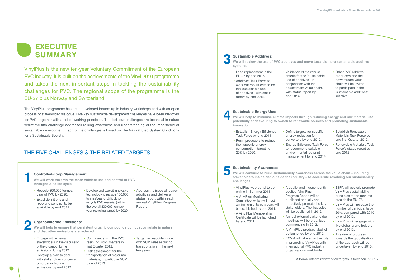

VinylPlus is the new ten-year Voluntary Commitment of the European PVC industry. It is built on the achievements of the Vinyl 2010 programme and takes the next important steps in tackling the sustainability challenges for PVC. The regional scope of the programme is the EU-27 plus Norway and Switzerland.

The VinylPlus programme has been developed bottom up in industry workshops and with an open process of stakeholder dialogue. Five key sustainable development challenges have been identified for PVC, together with a set of working principles. The first four challenges are technical in nature whilst the fifth challenge addresses raising awareness and understanding of the importance of sustainable development. Each of the challenges is based on The Natural Step System Conditions for a Sustainable Society.

### THE FIVE CHALLENGES & THE RELATED TARGETS

**We will work towards the more efficient use and control of PVC throughout its life cycle.**

### **Sustainable Additives:**

• Address the issue of legacy additives and deliver a status report within each annual VinylPlus Progress Report.

#### **We will review the use of PVC additives and move towards more sustainable additive**

**systems.**

### **Organochlorine Emissions:**

### **Sustainable Energy Use:**

**We will help to minimise climate impacts through reducing energy and raw material use, potentially endeavouring to switch to renewable sources and promoting sustainable** 

**We will continue to build sustainability awareness across the value chain – including stakeholders inside and outside the industry – to accelerate resolving our sustainability challenges.**

A formal interim review of all targets is foreseen in 2015.

- Recycle 800,000 tonnes/ year of PVC by 2020.
- Exact definitions and reporting concept to be available by end 2011.
- Develop and exploit innovative technology to recycle 100,000 tonnes/year of difficult-torecycle PVC material (within the overall 800,000 tonnes/ year recycling target) by 2020.
- Lead replacement in the EU-27 by end 2015.
- Additives Task Force to work out robust criteria for the 'sustainable use of additives', with status report by end 2012.
- end 2014.

- **innovation.**
- Establish Energy Efficiency Task Force by end 2011.
- Resin producers to reduce their specific energy consumption, targeting 20% by 2020.

• Validation of the robust criteria for the 'sustainable use of additives', in conjunction with the downstream value chain, with status report by

• Other PVC additive producers and the downstream value chain will be invited to participate in the 'sustainable additives' initiative.

## **Controlled-Loop Management: 1**

- Engage with external stakeholders in the discussion of the organochlorine emissions during 2012.
- Develop a plan to deal with stakeholder concerns on organochlorine emissions by end 2012.
- Compliance with the PVC resin Industry Charters in first Quarter 2012. • Risk assessment for the

**We will help to ensure that persistent organic compounds do not accumulate in nature and that other emissions are reduced. 2**

- transportation of major raw with VCM release during transportation in the next ten years.
- materials, in particular VCM,

by end 2013.

• Target zero-accident rate

## **Sustainability Awareness: 5**

environmental footprint measurement by end 2014.

- Define targets for specific energy reduction for converters by end 2012.
- Energy Efficiency Task Force to recommend suitable
- Establish Renewable Materials Task Force by end first Quarter 2012.
- Renewable Materials Task Force's status report by end 2012.

- VinylPlus web portal to go online in Summer 2011.
- A VinylPlus Monitoring Committee, which will meet a minimum of twice a year, will be established by end 2011.
- A VinylPlus Membership Certificate will be launched by end 2011.
- A VinylPlus product label will be launched by end 2012.
- ECVM will take an active role in promoting VinylPlus with international PVC industry organisations worldwide.
- A public, and independently audited, VinylPlus
- Progress Report will be published annually and proactively promoted to key stakeholders. The first edition will be published in 2012.
- Annual external stakeholder meetings will be organised, commencing in 2012.
- ESPA will actively promote VinylPlus sustainability principles to the markets outside the EU-27.
- VinylPlus will increase the number of participants by 20%, compared with 2010 by end 2013.
- VinylPlus will engage with five global brand holders by end 2013.
- A review of progress towards the globalisation of the approach will be undertaken by end 2015.

**3**

**4**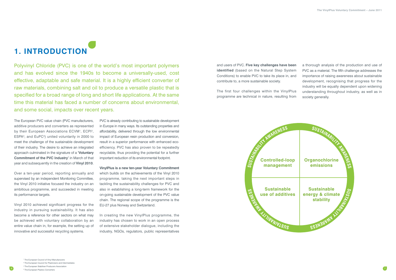7

## **1. INTRODUCTION**

Polyvinyl Chloride (PVC) is one of the world's most important polymers and has evolved since the 1940s to become a universally-used, cost effective, adaptable and safe material. It is a highly efficient converter of raw materials, combining salt and oil to produce a versatile plastic that is specified for a broad range of long and short life applications. At the same time this material has faced a number of concerns about environmental, and some social, impacts over recent years.

and users of PVC. **Five key challenges have been identified** (based on the Natural Step System Conditions) to enable PVC to take its place in, and contribute to, a more sustainable society.

The first four challenges within the VinylPlus programme are technical in nature, resulting from a thorough analysis of the production and use of PVC as a material. The fifth challenge addresses the importance of raising awareness about sustainable development, recognising that progress for the industry will be equally dependent upon widening understanding throughout industry, as well as in society generally.

The European PVC value chain (PVC manufacturers, additive producers and converters as represented by their European Associations ECVM<sup>1</sup>, ECPI<sup>2</sup>, ESPA3, and EuPC4) united voluntarily in 2000 to meet the challenge of the sustainable development of their industry. The desire to achieve an integrated approach culminated in the signature of a **'Voluntary Commitment of the PVC Industry'** in March of that year and subsequently in the creation of **Vinyl 2010**.

Over a ten-year period, reporting annually and supervised by an independent Monitoring Committee, the Vinyl 2010 initiative focused the industry on an ambitious programme, and succeeded in meeting its performance targets.

Vinyl 2010 achieved significant progress for the industry in pursuing sustainability. It has also become a reference for other sectors on what may be achieved with voluntary collaboration by an entire value chain in, for example, the setting up of innovative and successful recycling systems.

PVC is already contributing to sustainable development in Europe in many ways. Its outstanding properties and affordability, delivered through the low environmental impact of European resin production and conversion, result in a superior performance with enhanced ecoefficiency. PVC has also proven to be repeatedly recyclable, thus providing the potential for a further important reduction of its environmental footprint.

**VinylPlus is a new ten-year Voluntary Commitment**  which builds on the achievements of the Vinyl 2010 programme, taking the next important steps in tackling the sustainability challenges for PVC and also in establishing a long-term framework for the on-going sustainable development of the PVC value chain. The regional scope of the programme is the EU-27 plus Norway and Switzerland.

In creating the new VinylPlus programme, the industry has chosen to work in an open process of extensive stakeholder dialogue, including the industry, NGOs, regulators, public representatives

 The European Council of Vinyl Manufacturers The European Council for Plasticisers and Intermediates The European Stabiliser Producers Association The European Plastics Converters

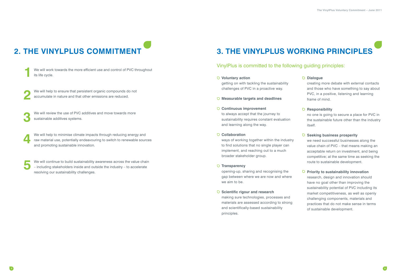# **2. THE VINYLPLUS COMMITMENT 3. THE VINYLPLUS WORKING PRINCIPLES**

### VinylPlus is committed to the following guiding principles:

### **Voluntary action**

getting on with tackling the sustainability challenges of PVC in a proactive way.

### **Measurable targets and deadlines**

### **Continuous improvement**

to always accept that the journey to sustainability requires constant evaluation and learning along the way.

### **Collaboration**

ways of working together within the industry to find solutions that no single player can implement, and reaching out to a much broader stakeholder group.

### **D** Transparency

opening-up, sharing and recognising the gap between where we are now and where we aim to be.

### **Scientific rigour and research**

making sure technologies, processes and materials are assessed according to strong and scientifically-based sustainability principles.

### **Dialogue**

creating more debate with external contacts and those who have something to say about PVC, in a positive, listening and learning frame of mind.

### **D** Responsibility

no one is going to secure a place for PVC in the sustainable future other than the industry itself.

### **D** Seeking business prosperity

we need successful businesses along the value chain of PVC – that means making an acceptable return on investment, and being competitive; at the same time as seeking the route to sustainable development.

### **Priority to sustainability innovation**

research, design and innovation should have no goal other than improving the sustainability potential of PVC including its market competitiveness, as well as openly challenging components, materials and practices that do not make sense in terms of sustainable development.

**1** We will work towards the more efficient use and control of PVC throughout its life cycle.

**2** We will help to ensure that persistent organic compounds do not accumulate in nature and that other emissions are reduced.

**3** We will review the use of PVC additives and move towards more sustainable additives systems.

**4** We will help to minimise climate impacts through reducing energy and raw material use, potentially endeavouring to switch to renewable sources and promoting sustainable innovation.

**5** We will continue to build sustainability awareness across the value chain – including stakeholders inside and outside the industry – to accelerate resolving our sustainability challenges.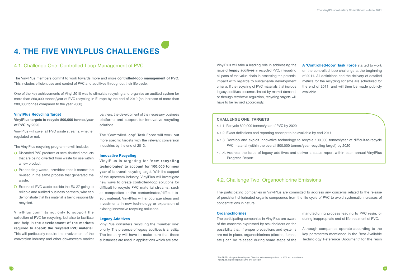## **4. THE FIVE VINYLPLUS CHALLENGES**

### 4.1. Challenge One: Controlled-Loop Management of PVC

The VinylPlus members commit to work towards more and more **controlled-loop management of PVC.** This includes efficient use and control of PVC and additives throughout their life cycle.

One of the key achievements of Vinyl 2010 was to stimulate recycling and organise an audited system for more than 260,000 tonnes/year of PVC recycling in Europe by the end of 2010 (an increase of more than 200,000 tonnes compared to the year 2000).

### **VinylPlus Recycling Target**

**VinylPlus targets to recycle 800,000 tonnes/year of PVC by 2020.** 

VinylPlus will cover all PVC waste streams, whether regulated or not.

The VinylPlus recycling programme will include:

partners, the development of the necessary business platforms and support for innovative recycling solutions.

The 'Controlled-loop' Task Force will work out more specific targets with the relevant conversion industries by the end of 2013.

#### **Innovative Recycling**

VinylPlus is targeting for **'new recycling technologies' to account for 100,000 tonnes/ year** of its overall recycling target. With the support of the upstream industry, VinylPlus will investigate new ways to create controlled-loop solutions for difficult-to-recycle PVC material streams, such as composites and/or contaminated/difficult-tosort material. VinylPlus will encourage ideas and investments in new technology or expansion of existing innovative recycling solutions.

#### **Legacy Additives**

VinylPlus considers recycling the 'number one' priority. The presence of legacy additives is a reality. The industry will have to make sure that these substances are used in applications which are safe.

- manufacturing process leading to PVC resin; or during inappropriate end-of-life treatment of PVC.
- Although companies operate according to the key parameters mentioned in the Best Available Technology Reference Document<sup>5</sup> for the resin

VinylPlus commits not only to support the collection of PVC for recycling, but also to facilitate and help in **the development of the markets required to absorb the recycled PVC material.**  This will particularly require the involvement of the conversion industry and other downstream market

### **Challenge One: Targets**

- D Discarded PVC products or semi-finished products that are being diverted from waste for use within a new product.
- $\nabla$  Processing waste, provided that it cannot be re-used in the same process that generated the waste.
- D Exports of PVC waste outside the EU-27 going to reliable and audited business partners, who can demonstrate that this material is being responsibly recycled.
- 4.1.1. Recycle 800,000 tonnes/year of PVC by 2020
- 4.1.2. Exact definitions and reporting concept to be available by end 2011
- 4.1.3. Develop and exploit innovative technology to recycle 100,000 tonnes/year of difficult-to-recycle PVC material (within the overall 800,000 tonnes/year recycling target) by 2020
- 4.1.4. Address the issue of legacy additives and deliver a status report within each annual VinylPlus Progress Report

VinylPlus will take a leading role in addressing the issue of **legacy additives** in recycled PVC, integrating all parts of the value chain in assessing the potential impact with regards to sustainable development criteria. If the recycling of PVC materials that include legacy additives becomes limited by market demand, or through restrictive regulation, recycling targets will have to be revised accordingly.

**A 'Controlled-loop' Task Force** started to work on the controlled-loop challenge at the beginning of 2011. All definitions and the delivery of detailed metrics for the recycling scheme are scheduled for the end of 2011, and will then be made publicly available.

### 4.2. Challenge Two: Organochlorine Emissions

The participating companies in VinylPlus are committed to address any concerns related to the release of persistent chlorinated organic compounds from the life cycle of PVC to avoid systematic increases of concentrations in nature.

#### **Organochlorines**

The participating companies in VinylPlus are aware of the concerns expressed by stakeholders on the possibility that, if proper precautions and systems are not in place, organochlorines (dioxins, furans, etc.) can be released during some steps of the

<sup>5</sup> The BREF for Large Volume Organic Chemical Industry was published in 2003 and is available at ftp://ftp.irc.es/pub/eippcb/doc/lvo\_bref\_0203.pdf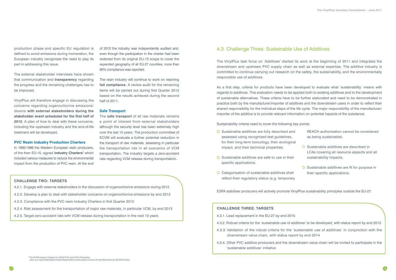### **Challenge Two: Targets**

4.2.1. Engage with external stakeholders in the discussion of organochlorine emissions during 2012

- 4.2.2. Develop a plan to deal with stakeholder concerns on organochlorine emissions by end 2012
- 4.2.3. Compliance with the PVC resin Industry Charters in first Quarter 2012
- 4.2.4. Risk assessment for the transportation of major raw materials, in particular VCM, by end 2013
- 4.2.5. Target zero-accident rate with VCM release during transportation in the next 10 years

production phase and specific EU regulation is defined to avoid emissions during incineration, the European industry recognises the need to play its part in addressing this issue.

In 1995/1998 the Western European resin producers, of the then EU-15, signed **Industry Charters**<sup>6</sup> which included various measures to reduce the environmental impact from the production of PVC resin. At the end

The external stakeholder interviews have shown that communication and **transparency** regarding the progress and the remaining challenges has to be improved.

VinylPlus will therefore engage in discussing the concerns regarding organochlorine emissions/ dioxins **with external stakeholders during the stakeholder event scheduled for the first half of 2012**. A plan of how to deal with these concerns, including the upstream industry and the end-of-life treatment will be developed.

### **PVC Resin Industry Production Charters**

of 2010 the industry was independently audited and, even though the participation in the charter had been widened from its original EU-15 scope to cover the expanded geography of all EU-27 countries, more than 90% compliance was reported.

The resin industry will continue to work on reaching **full compliance**. A review audit for the remaining items will be carried out during first Quarter 2012 based on the results achieved during the second half of 2011.

### **Safe Transport**

- $\overline{O}$  Sustainable additives are fully described and assessed using recognised test guidelines, for their long-term toxicology, their ecological impact, and their technical properties.
- $\overline{O}$  Sustainable additives are safe to use in their specific applications.
- Categorisation of sustainable additives shall reflect their regulatory status (e.g. temporary

The **safe transport** of all raw materials remains a point of interest from external stakeholders although the security level has been extremely high over the last 10 years. The production committee of ECVM will evaluate a further potential reduction in the transport of raw materials, assessing in particular the transportation risk in all scenarios of VCM transportation. The industry targets a zero-accident rate regarding VCM release during transportation.

### 4.3. Challenge Three: Sustainable Use of Additives

The VinylPlus task force on 'Additives' started its work at the beginning of 2011 and integrates the downstream and upstream PVC supply chain as well as external expertise. The additive industry is committed to continue carrying out research on the safety, the sustainability, and the environmentally responsible use of additives.

As a first step, criteria for products have been developed to evaluate what 'sustainability' means with regards to additives. This evaluation needs to be applied both to existing additives and to the development of sustainable alternatives. These criteria have to be further elaborated and need to be demonstrated in practice both by the manufacturer/importer of additives and the downstream users in order to reflect their shared responsibility for the individual steps of the life cycle. The major responsibility of the manufacturer/ importer of the additive is to provide relevant information on potential hazards of the substance.

Sustainability criteria need to cover the following key points:

ESPA stabiliser producers will actively promote VinylPlus sustainability principles outside the EU-27.

- REACH authorisation cannot be considered as being sustainable).
- $\overline{O}$  Sustainable additives are described in LCAs covering all resource aspects and all sustainability impacts.
- $\overline{O}$  Sustainable additives are fit for purpose in their specific applications.

### **Challenge Three: Targets**

4.3.2. Robust criteria for the 'sustainable use of additives' to be developed, with status report by end 2012

- 4.3.1. Lead replacement in the EU-27 by end 2015
- 
- 4.3.3. Validation of the robust criteria for the 'sustainable use of additives' in conjunction with the downstream value chain, with status report by end 2014
- 4.3.4. Other PVC additive producers and the downstream value chain will be invited to participate in the 'sustainable additives' initiative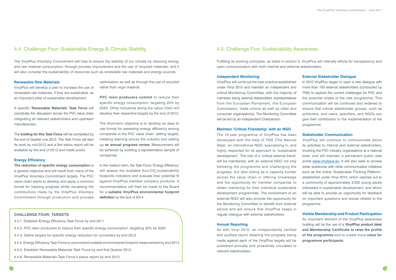### 4.4. Challenge Four: Sustainable Energy & Climate Stability

The VinylPlus Voluntary Commitment will help to ensure the stability of our climate by reducing energy and raw material consumption, through process improvement and the use of recycled materials; and it will also consider the sustainability of resources such as renewable raw materials and energy sources.

### 4.5. Challenge Five: Sustainability Awareness

Fulfilling its working principles, as listed in section 3, VinylPlus will intensify efforts for transparency and open communication with both internal and external stakeholders.

### **Renewable Raw Materials**

VinylPlus will develop a plan to increase the use of renewable raw materials, if they are sustainable, as an important pillar of sustainable development.

A specific **'Renewable Materials' Task Force** will coordinate the discussion across the PVC value chain integrating all relevant stakeholders and upstream manufacturers.

**PVC resin producers commit to reduce their** specific energy consumption, targeting 20% by 2020. Other industries along the value chain will develop their respective targets by the end of 2012.

The **briefing for this Task Force** will be completed by the end of Quarter one 2012. The Task Force will start its work by mid-2012 and a first status report will be available by the end of 2012 and made public.

### **Energy Efficiency**

**The reduction of specific energy consumption** is a general objective and will result from many of the VinylPlus Voluntary Commitment targets. The PVC value chain wants to develop and apply a common format for tracking progress whilst visualising the contributions made by the VinylPlus Voluntary Commitment through production and process optimisation as well as through the use of recycled rather than virgin material.

The short-term objective is to develop an easy to use format for assessing energy efficiency among companies in the PVC value chain, setting targets, initiating learning across the industry and setting up **an annual progress review.** Measurement will be achieved by auditing a representative sample of companies.

In the medium term, the Task Force 'Energy Efficiency' will assess the available  $Eco/CO$ , sustainability footprints indicators and evaluate their potential fit against VinylPlus member company products. A recommendation will then be made to the Board for a **suitable VinylPlus environmental footprint definition** by the end of 2014.

### **Challenge Four: Targets**

- 4.4.1. Establish Energy Efficiency Task Force by end 2011
- 4.4.2. PVC resin producers to reduce their specific energy consumption, targeting 20% by 2020
- 4.4.3. Define targets for specific energy reduction for converters by end 2012
- 4.4.4. Energy Efficiency Task Force to recommend suitable environmental footprint measurement by end 2014
- 4.4.5. Establish Renewable Materials Task Force by end first Quarter 2012
- 4.4.6. Renewable Materials Task Force's status report by end 2012

### **Independent Monitoring**

VinylPlus will continue the best practice established under Vinyl 2010 and maintain an independent and critical Monitoring Committee, with the majority of members being external stakeholders (representatives from the European Parliament, the European Commission, trade unions as well as retail and consumer organisations). The Monitoring Committee will be led by an independent Chairperson.

### **Maintain 'Critical Friendship' with an NGO**

The 10-year programme of VinylPlus has been developed with the help of TNS (The Natural Step), an international NGO, specialising in, and highly respected for its approach to 'sustainable development'. The role of a 'critical external friend' will be maintained, with an external NGO not only following the programme and challenging the progress, but also acting as a capacity builder across the value chain in offering knowledge and the opportunity for member companies to obtain mentoring for their individual sustainable development programmes. The involvement of an external NGO will also provide the opportunity for the Monitoring Committee to benefit from external advice and will ensure that VinylPlus keeps in regular dialogue with external stakeholders.

#### **Annual Reporting**

As with Vinyl 2010, an independently verified and audited report detailing the progress being made against each of the VinylPlus targets will be published annually and proactively circulated to relevant stakeholders.

### **External Stakeholder Dialogue**

In 2010 VinylPlus began to open a new dialogue with more than 100 external stakeholders (conducted by TNS) to explore the current challenges for PVC and the potential shape of the new programme. This communication will be continued and widened to ensure that critical stakeholder groups, such as politicians, end users, specifiers, and NGOs can give their contribution to the implementation of the programme.

### **Stakeholder Communication**

VinylPlus will continue to communicate about its activities to internal and external stakeholders, involving the PVC industry organisations at a national level, and will maintain a permanent public web portal www.vinylplus.eu. It will also seek to access wider audiences with other communication initiatives such as the online 'Sustainable Thinking Platform', established under Vinyl 2010, which reaches out to a community of approximately 3,000 young adults interested in sustainable development, and which will be able to provide an opportunity for feedback on important questions and issues related to the programme.

### **Visible Membership and Product Participation**

An important element of the VinylPlus awareness building will be the use of a **VinylPlus product label and Membership Certificate to raise the profile of the programme** and to create more **value for programme participants.**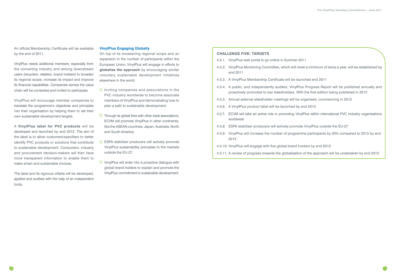An official Membership Certificate will be available by the end of 2011.

VinylPlus needs additional members, especially from the converting industry and among downstream users (recyclers, retailers, brand holders) to broaden its regional scope, increase its impact and improve its financial capabilities. Companies across the value chain will be contacted and invited to participate.

VinylPlus will encourage member companies to translate the programme's objectives and principles into their organisation by helping them to set their own sustainable development targets.

A **VinylPlus label for PVC products** will be developed and launched by end 2012. The aim of the label is to allow customers/specifiers to better identify PVC products or solutions that contribute to sustainable development. Consumers, industry and procurement decision-makers will then have more transparent information to enable them to make smart and sustainable choices.

The label and its rigorous criteria will be developed, applied and audited with the help of an independent body.

### **VinylPlus Engaging Globally**

On top of its broadening regional scope and an expansion in the number of participants within the European Union, VinylPlus will engage in efforts to **globalise the approach** by encouraging similar voluntary sustainable development initiatives elsewhere in the world.

### **Challenge Five: Targets**

4.5.2. VinylPlus Monitoring Committee, which will meet a minimum of twice a year, will be established by

- $\overline{D}$  Inviting companies and associations in the PVC industry worldwide to become associate members of VinylPlus and demonstrating how to plan a path to sustainable development.
- $\overline{O}$  Through its global links with other trade associations, ECVM will promote VinylPlus in other continents, like the ASEAN countries, Japan, Australia, North and South America.
- D ESPA stabiliser producers will actively promote VinylPlus sustainability principles to the markets outside the EU-27.
- $\overline{O}$  VinylPlus will enter into a proactive dialogue with global brand holders to explain and promote the VinylPlus commitment to sustainable development.
- 4.5.1. VinylPlus web portal to go online in Summer 2011
- end 2011
- 4.5.3. A VinylPlus Membership Certificate will be launched end 2011
- 4.5.4. A public, and independently audited, VinylPlus Progress Report will be published annually and proactively promoted to key stakeholders. With the first edition being published in 2012
- 4.5.5. Annual external stakeholder meetings will be organised, commencing in 2012
- 4.5.6. A VinylPlus product label will be launched by end 2012
- 4.5.7. ECVM will take an active role in promoting VinylPlus within international PVC industry organisations worldwide
- 4.5.8. ESPA stabiliser producers will actively promote VinylPlus outside the EU-27
- 4.5.9. VinylPlus will increase the number of programme participants by 20% compared to 2010 by end 2013
- 4.5.10. VinylPlus will engage with five global brand holders by end 2013
- 4.5.11. A review of progress towards the globalisation of the approach will be undertaken by end 2015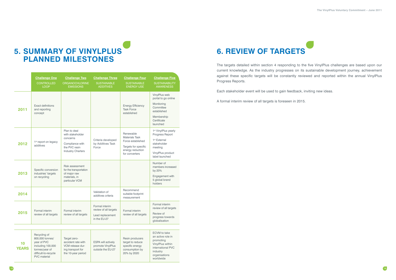

## **5. SUMMARY OF VINYLPLUS PLANNED MILESTONES**

|                    | <b>Challenge One</b><br><b>CONTROLLED</b><br><b>LOOP</b>                                                      | <b>Challenge Two</b><br><b>ORGANOCHLORINE</b><br><b>EMISSIONS</b>                                            | <b>Challenge Three</b><br><b>SUSTAINABLE</b><br><b>ADDITIVES</b>            | <b>Challenge Four</b><br><b>SUSTAINABLE</b><br><b>ENERGY USE</b>                                                      | <b>Challenge Five</b><br><b>SUSTAINABILITY</b><br><b>AWARENESS</b>                                                                               |
|--------------------|---------------------------------------------------------------------------------------------------------------|--------------------------------------------------------------------------------------------------------------|-----------------------------------------------------------------------------|-----------------------------------------------------------------------------------------------------------------------|--------------------------------------------------------------------------------------------------------------------------------------------------|
| 2011               | <b>Exact definitions</b><br>and reporting<br>concept                                                          |                                                                                                              |                                                                             | <b>Energy Efficiency</b><br><b>Task Force</b><br>established                                                          | VinylPlus web<br>portal to go online<br>Monitoring<br>Committee<br>established<br>Membership<br>Certificate<br>launched                          |
| 2012               | 1 <sup>st</sup> report on legacy<br>additives                                                                 | Plan to deal<br>with stakeholder<br>concerns<br>Compliance with<br>the PVC resin<br><b>Industry Charters</b> | Criteria developed<br>by Additives Task<br>Force                            | Renewable<br><b>Materials Task</b><br>Force established<br>Targets for specific<br>energy reduction<br>for converters | 1 <sup>st</sup> VinylPlus yearly<br>Progress Report<br>1 <sup>st</sup> External<br>stakeholder<br>meeting<br>VinylPlus product<br>label launched |
| 2013               | Specific conversion<br>industries' targets<br>on recycling                                                    | Risk assessment<br>for the transportation<br>of major raw<br>materials, in<br>particular VCM                 |                                                                             |                                                                                                                       | Number of<br>members increased<br>by 20%<br>Engagement with<br>5 global brand<br>holders                                                         |
| 2014               |                                                                                                               |                                                                                                              | Validation of<br>additives criteria                                         | Recommend<br>suitable footprint<br>measurement                                                                        |                                                                                                                                                  |
| 2015               | Formal interim<br>review of all targets                                                                       | Formal interim<br>review of all targets                                                                      | Formal interim<br>review of all targets<br>Lead replacement<br>in the EU-27 | Formal interim<br>review of all targets                                                                               | Formal interim<br>review of all targets<br>Review of<br>progress towards<br>globalisation                                                        |
|                    |                                                                                                               |                                                                                                              |                                                                             |                                                                                                                       |                                                                                                                                                  |
| 10<br><b>YEARS</b> | Recycling of<br>800,000 tonnes/<br>year of PVC<br>including 100,000<br>tonnes/year of<br>difficult-to-recycle | Target zero-<br>accident rate with<br>VCM release dur-<br>ing transport for<br>the 10-year period            | ESPA will actively<br>promote VinylPlus<br>outside the EU-27                | Resin producers<br>target to reduce<br>specific energy<br>consumption by<br>20% by 2020                               | <b>ECVM</b> to take<br>an active role in<br>promoting<br>VinylPlus within<br>international PVC<br>industry                                       |

PVC material

organisations worldwide

## **6. REVIEW OF TARGETS**

The targets detailed within section 4 responding to the five VinylPlus challenges are based upon our current knowledge. As the industry progresses on its sustainable development journey, achievement against these specific targets will be constantly reviewed and reported within the annual VinylPlus Progress Reports.

Each stakeholder event will be used to gain feedback, inviting new ideas.

A formal interim review of all targets is foreseen in 2015.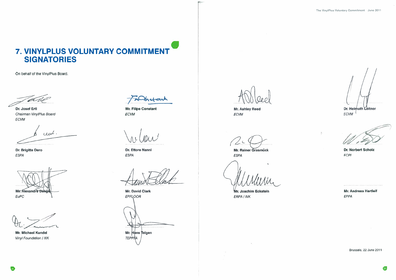## 7. VINYLPLUS VOLUNTARY COMMITMENT **SIGNATORIES**

On behalf of the VinylPlus Board,

Dr. Josef Ertl Chairman VinylPlus Board ECVM

und.

Dr. Brigitte Dero ESPA

Mr. Alexandre Dangi

EuPC

Mr. Michael Kundel Vinyl Foundation / IVK

netart

Mr. Filipe Constant ECVM

Dr. Ettore Nanni **ESPA** 

**Mr. David Clark** EPFLOOR Mr. Hans Teigen TEPPRA

Mr. Ashley Reed ECVM

Mr. Rainer Grasmück **ESPA** 

Mr. Joachim Eckstein ERPA / IVK

 $\omega$ 

Dr. Helmuth Leitner

Dr. Norbert Scholz **ECPI** 

**ECVM** 

 $\boldsymbol{h}$ 

Mr. Andreas Hartleif EPPA

Brussels, 22 June 2011

 $\overline{21}$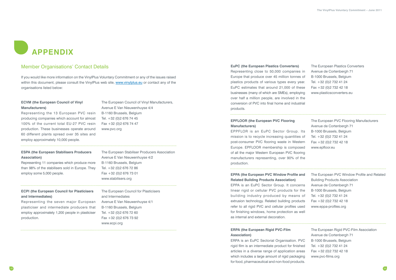# **APPENDIX**

### Member Organisations' Contact Details

If you would like more information on the VinylPlus Voluntary Commitment or any of the issues raised within this document, please consult the VinylPlus web site, www.vinylplus.eu or contact any of the organisations listed below:

### **ECVM (the European Council of Vinyl Manufacturers)**

Representing the 13 European PVC resin producing companies which account for almost 100% of the current total EU-27 PVC resin production. These businesses operate around 60 different plants spread over 35 sites and employ approximately 10,000 people.

The European Council of Vinyl Manufacturers,

Avenue E Van Nieuwenhuyse 4/4

B-1160 Brussels, Belgium Tel. +32 (0)2 676 74 45 Fax +32 (0)2 676 74 47

www.pvc.org

### **ECPI (the European Council for Plasticisers and Intermediates)**

Representing the seven major European plasticiser and intermediate producers that employ approximately 1,200 people in plasticiser production.

Representing close to 50,000 companie Europe that produce over 45 million tonne plastics products of various types every y EuPC estimates that around 21,000 of the businesses (many of which are SMEs), emplo over half a million people, are involved in conversion of PVC into final home and industrial products.

### **EPPA (the European PVC Window Profile Related Building Products Association)**

The European Council for Plasticisers and Intermediates Avenue E Van Nieuwenhuyse 4/1 B-1160 Brussels, Belgium Tel. +32 (0)2 676 72 60 Fax +32 (0)2 676 73 92 www.ecpi.org

### **ESPA (the European Stabilisers Producers Association)**

EPPA is an EuPC Sector Group. It conce linear rigid or cellular PVC products for building industry produced by means extrusion technology. Related building prod refer to all rigid PVC and cellular profiles u for finishing windows, home protection as as internal and external decoration.

Representing 11 companies which produce more than 98% of the stabilisers sold in Europe. They employ some 5,000 people.

The European Stabiliser Producers Association Avenue E Van Nieuwenhuyse 4/2 B-1160 Brussels, Belgium Tel. +32 (0)2 676 72 86 Fax +32 (0)2 676 73 01 www.stabilisers.org

EPPFLOR is an EuPC Sector Group. mission is to recycle increasing quantities post-consumer PVC flooring waste in Western Europe. EPFLOOR membership is compo of all the major Western European PVC floc manufacturers representing, over 90% of production.

### **EuPC (the European Plastics Converters)**

| s in<br>s of<br>ear.<br>ese<br>ying<br>the<br>strial | The European Plastics Converters<br>Avenue de Cortenbergh 71<br>B-1000 Brussels, Belgium<br>Tel. +32 (0)2 732 41 24<br>Fax +32 (0) 2 732 42 18<br>www.plasticsconverters.eu |
|------------------------------------------------------|-----------------------------------------------------------------------------------------------------------------------------------------------------------------------------|
| lts                                                  | The European PVC Flooring Manufacturers                                                                                                                                     |
| s of                                                 | Avenue de Cortenbergh 71                                                                                                                                                    |
| stern                                                | B-1000 Brussels, Belgium                                                                                                                                                    |
| bsed                                                 | Tel. +32 (0) 2 732 41 24                                                                                                                                                    |
| pring                                                | Fax +32 (0) 2 732 42 18                                                                                                                                                     |
| the                                                  | www.epfloor.eu                                                                                                                                                              |
| and                                                  | The European PVC Window Profile and Related                                                                                                                                 |
| erns                                                 | <b>Building Products Association</b>                                                                                                                                        |
| the                                                  | Avenue de Cortenbergh 71                                                                                                                                                    |
| s of                                                 | B-1000 Brussels, Belgium                                                                                                                                                    |
| ucts                                                 | Tel. +32 (0) 2 732 41 24                                                                                                                                                    |
| ısed                                                 | Fax +32 (0) 2 732 42 18                                                                                                                                                     |
| well                                                 | www.eppa-profiles.org                                                                                                                                                       |
| <b>PVC</b><br>shed<br>reas<br>ging<br>ucts.          | The European Rigid PVC-Film Association<br>Avenue de Cortenbergh 71<br>B-1000 Brussels, Belgium<br>Tel. +32 (0) 2 732 41 24<br>Fax +32 (0) 2 732 42 18<br>www.pvc-films.org |

### **EPFLOOR (the European PVC Flooring Manufacturers)**

### **ERPA (the European Rigid PVC-Film Association)**

ERPA is an EuPC Sectorial Organisation. rigid film is an intermediate product for finish articles in a diverse range of application a which includes a large amount of rigid packa for food, pharmaceutical and non-food produ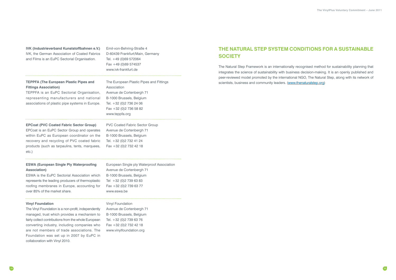**IVK (Industrieverband Kunststoffbahnen e.V.)**

IVK, the German Association of Coated Fabrics and Films is an EuPC Sectorial Organisation.

Emil-von-Behring-Straße 4 D-60439 Frankfurt/Main, Germany Tel. +49 (0)69 572064 Fax +49 (0)69 574537 www.ivk-frankfurt.de

**EPCoat (PVC Coated Fabric Sector Group)** 

EPCoat is an EuPC Sector Group and operates within EuPC as European coordinator on the recovery and recycling of PVC coated fabric products (such as tarpaulins, tents, marquees, etc.)

PVC Coated Fabric Sector Group Avenue de Cortenbergh 71 B-1000 Brussels, Belgium Tel. +32 (0)2 732 41 24 Fax +32 (0)2 732 42 18

### **ESWA (European Single Ply Waterproofing Association)**

ESWA is the EuPC Sectorial Association which represents the leading producers of thermoplastic roofing membranes in Europe, accounting for over 85% of the market share.

European Single ply Waterproof Association

Avenue de Cortenbergh 71 B-1000 Brussels, Belgium Tel +32 (0)2 739 63 83 Fax +32 (0)2 739 63 77 www.eswa.be

### **Vinyl Foundation**

The Vinyl Foundation is a non-profit, independently managed, trust which provides a mechanism to fairly collect contributions from the whole European converting industry, including companies who are not members of trade associations. The Foundation was set up in 2007 by EuPC in collaboration with Vinyl 2010.

### Vinyl Foundation

Avenue de Cortenbergh 71 B-1000 Brussels, Belgium Tel. +32 (0)2 739 63 76 Fax +32 (0)2 732 42 18 www.vinylfoundation.org

**TEPPFA (The European Plastic Pipes and Fittings Association)** 

TEPPFA is an EuPC Sectorial Organisation, representing manufacturers and national associations of plastic pipe systems in Europe.

The European Plastic Pipes and Fittings Association Avenue de Cortenbergh 71 B-1000 Brussels, Belgium Tel. +32 (0)2 736 24 06 Fax +32 (0)2 736 58 82 www.teppfa.org

## **THE NATURAL STEP SYSTEM CONDITIONS FOR A SUSTAINABLE SOCIETY**

The Natural Step Framework is an internationally recognised method for sustainability planning that integrates the science of sustainability with business decision-making. It is an openly published and peer-reviewed model promoted by the international NGO, The Natural Step, along with its network of scientists, business and community leaders. (www.thenaturalstep.org)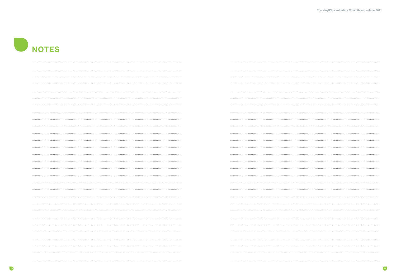